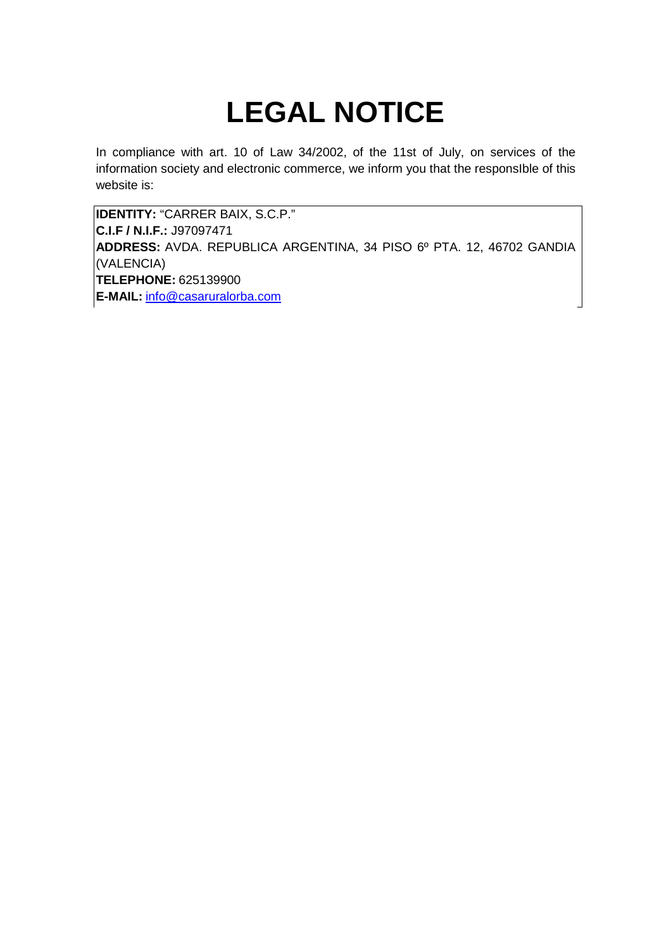# **LEGAL NOTICE**

In compliance with art. 10 of Law 34/2002, of the 11st of July, on services of the information society and electronic commerce, we inform you that the responsIble of this website is:

**IDENTITY:** "CARRER BAIX, S.C.P." **C.I.F / N.I.F.:** J97097471 **ADDRESS:** AVDA. REPUBLICA ARGENTINA, 34 PISO 6º PTA. 12, 46702 GANDIA (VALENCIA) **TELEPHONE:** 625139900 **E-MAIL:** info@casaruralorba.com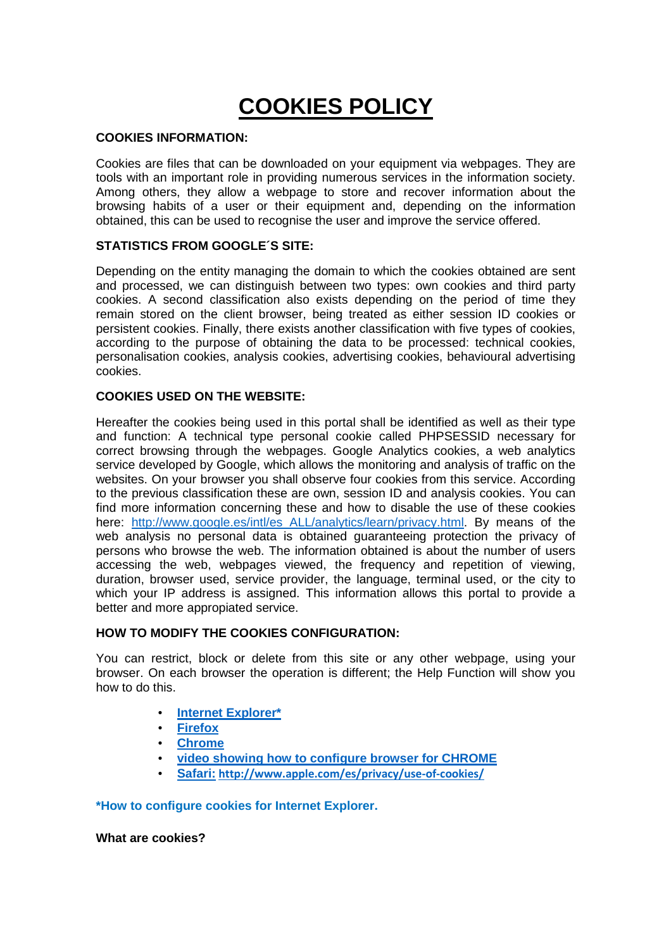## **COOKIES POLICY**

#### **COOKIES INFORMATION:**

Cookies are files that can be downloaded on your equipment via webpages. They are tools with an important role in providing numerous services in the information society. Among others, they allow a webpage to store and recover information about the browsing habits of a user or their equipment and, depending on the information obtained, this can be used to recognise the user and improve the service offered.

#### **STATISTICS FROM GOOGLE´S SITE:**

Depending on the entity managing the domain to which the cookies obtained are sent and processed, we can distinguish between two types: own cookies and third party cookies. A second classification also exists depending on the period of time they remain stored on the client browser, being treated as either session ID cookies or persistent cookies. Finally, there exists another classification with five types of cookies, according to the purpose of obtaining the data to be processed: technical cookies, personalisation cookies, analysis cookies, advertising cookies, behavioural advertising cookies.

#### **COOKIES USED ON THE WEBSITE:**

Hereafter the cookies being used in this portal shall be identified as well as their type and function: A technical type personal cookie called PHPSESSID necessary for correct browsing through the webpages. Google Analytics cookies, a web analytics service developed by Google, which allows the monitoring and analysis of traffic on the websites. On your browser you shall observe four cookies from this service. According to the previous classification these are own, session ID and analysis cookies. You can find more information concerning these and how to disable the use of these cookies here: http://www.google.es/intl/es\_ALL/analytics/learn/privacy.html. By means of the web analysis no personal data is obtained guaranteeing protection the privacy of persons who browse the web. The information obtained is about the number of users accessing the web, webpages viewed, the frequency and repetition of viewing, duration, browser used, service provider, the language, terminal used, or the city to which your IP address is assigned. This information allows this portal to provide a better and more appropiated service.

#### **HOW TO MODIFY THE COOKIES CONFIGURATION:**

You can restrict, block or delete from this site or any other webpage, using your browser. On each browser the operation is different; the Help Function will show you how to do this.

- **Internet Explorer\***
- **Firefox**
- **Chrome**
- **video showing how to configure browser for CHROME**
- **Safari: http://www.apple.com/es/privacy/use-of-cookies/**

**\*How to configure cookies for Internet Explorer.**

**What are cookies?**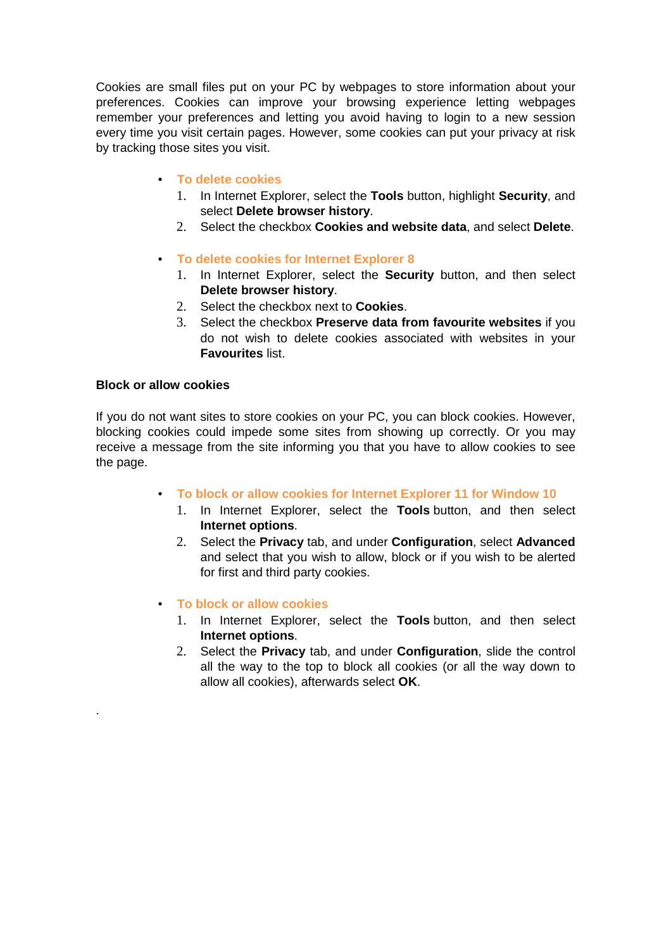Cookies are small files put on your PC by webpages to store information about your preferences. Cookies can improve your browsing experience letting webpages remember your preferences and letting you avoid having to login to a new session every time you visit certain pages. However, some cookies can put your privacy at risk by tracking those sites you visit.

- **To delete cookies**
	- 1. In Internet Explorer, select the **Tools** button, highlight **Security**, and select **Delete browser history**.
	- 2. Select the checkbox **Cookies and website data**, and select **Delete**.
- **To delete cookies for Internet Explorer 8**
	- 1. In Internet Explorer, select the **Security** button, and then select **Delete browser history**.
	- 2. Select the checkbox next to **Cookies**.
	- 3. Select the checkbox **Preserve data from favourite websites** if you do not wish to delete cookies associated with websites in your **Favourites** list.

#### **Block or allow cookies**

.

If you do not want sites to store cookies on your PC, you can block cookies. However, blocking cookies could impede some sites from showing up correctly. Or you may receive a message from the site informing you that you have to allow cookies to see the page.

- **To block or allow cookies for Internet Explorer 11 for Window 10**
	- 1. In Internet Explorer, select the **Tools** button, and then select **Internet options**.
	- 2. Select the **Privacy** tab, and under **Configuration**, select **Advanced** and select that you wish to allow, block or if you wish to be alerted for first and third party cookies.
- **To block or allow cookies**
	- 1. In Internet Explorer, select the **Tools** button, and then select **Internet options**.
	- 2. Select the **Privacy** tab, and under **Configuration**, slide the control all the way to the top to block all cookies (or all the way down to allow all cookies), afterwards select **OK**.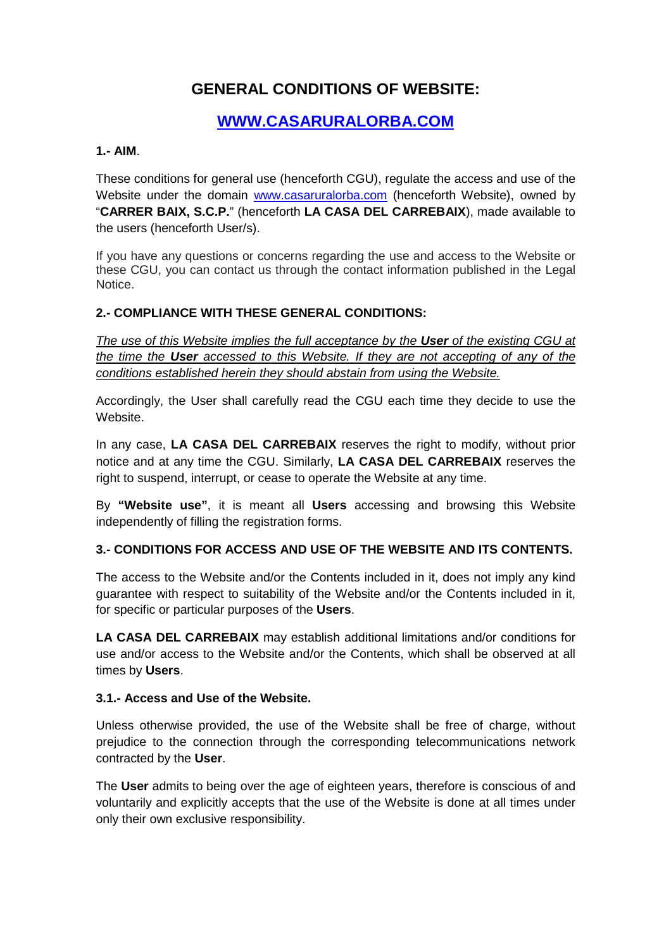## **GENERAL CONDITIONS OF WEBSITE:**

## **WWW.CASARURALORBA.COM**

#### **1.- AIM**.

These conditions for general use (henceforth CGU), regulate the access and use of the Website under the domain www.casaruralorba.com (henceforth Website), owned by "**CARRER BAIX, S.C.P.**" (henceforth **LA CASA DEL CARREBAIX**), made available to the users (henceforth User/s).

If you have any questions or concerns regarding the use and access to the Website or these CGU, you can contact us through the contact information published in the Legal Notice.

#### **2.- COMPLIANCE WITH THESE GENERAL CONDITIONS:**

The use of this Website implies the full acceptance by the **User** of the existing CGU at the time the **User** accessed to this Website. If they are not accepting of any of the conditions established herein they should abstain from using the Website.

Accordingly, the User shall carefully read the CGU each time they decide to use the Website.

In any case, **LA CASA DEL CARREBAIX** reserves the right to modify, without prior notice and at any time the CGU. Similarly, **LA CASA DEL CARREBAIX** reserves the right to suspend, interrupt, or cease to operate the Website at any time.

By **"Website use"**, it is meant all **Users** accessing and browsing this Website independently of filling the registration forms.

#### **3.- CONDITIONS FOR ACCESS AND USE OF THE WEBSITE AND ITS CONTENTS.**

The access to the Website and/or the Contents included in it, does not imply any kind guarantee with respect to suitability of the Website and/or the Contents included in it, for specific or particular purposes of the **Users**.

**LA CASA DEL CARREBAIX** may establish additional limitations and/or conditions for use and/or access to the Website and/or the Contents, which shall be observed at all times by **Users**.

#### **3.1.- Access and Use of the Website.**

Unless otherwise provided, the use of the Website shall be free of charge, without prejudice to the connection through the corresponding telecommunications network contracted by the **User**.

The **User** admits to being over the age of eighteen years, therefore is conscious of and voluntarily and explicitly accepts that the use of the Website is done at all times under only their own exclusive responsibility.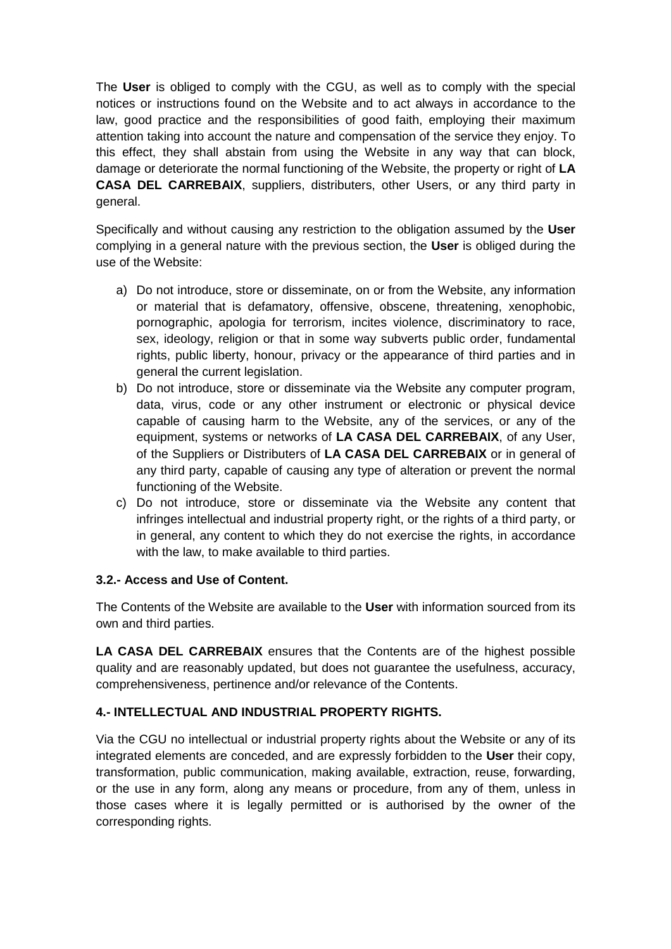The **User** is obliged to comply with the CGU, as well as to comply with the special notices or instructions found on the Website and to act always in accordance to the law, good practice and the responsibilities of good faith, employing their maximum attention taking into account the nature and compensation of the service they enjoy. To this effect, they shall abstain from using the Website in any way that can block, damage or deteriorate the normal functioning of the Website, the property or right of **LA CASA DEL CARREBAIX**, suppliers, distributers, other Users, or any third party in general.

Specifically and without causing any restriction to the obligation assumed by the **User** complying in a general nature with the previous section, the **User** is obliged during the use of the Website:

- a) Do not introduce, store or disseminate, on or from the Website, any information or material that is defamatory, offensive, obscene, threatening, xenophobic, pornographic, apologia for terrorism, incites violence, discriminatory to race, sex, ideology, religion or that in some way subverts public order, fundamental rights, public liberty, honour, privacy or the appearance of third parties and in general the current legislation.
- b) Do not introduce, store or disseminate via the Website any computer program, data, virus, code or any other instrument or electronic or physical device capable of causing harm to the Website, any of the services, or any of the equipment, systems or networks of **LA CASA DEL CARREBAIX**, of any User, of the Suppliers or Distributers of **LA CASA DEL CARREBAIX** or in general of any third party, capable of causing any type of alteration or prevent the normal functioning of the Website.
- c) Do not introduce, store or disseminate via the Website any content that infringes intellectual and industrial property right, or the rights of a third party, or in general, any content to which they do not exercise the rights, in accordance with the law, to make available to third parties.

#### **3.2.- Access and Use of Content.**

The Contents of the Website are available to the **User** with information sourced from its own and third parties.

**LA CASA DEL CARREBAIX** ensures that the Contents are of the highest possible quality and are reasonably updated, but does not guarantee the usefulness, accuracy, comprehensiveness, pertinence and/or relevance of the Contents.

#### **4.- INTELLECTUAL AND INDUSTRIAL PROPERTY RIGHTS.**

Via the CGU no intellectual or industrial property rights about the Website or any of its integrated elements are conceded, and are expressly forbidden to the **User** their copy, transformation, public communication, making available, extraction, reuse, forwarding, or the use in any form, along any means or procedure, from any of them, unless in those cases where it is legally permitted or is authorised by the owner of the corresponding rights.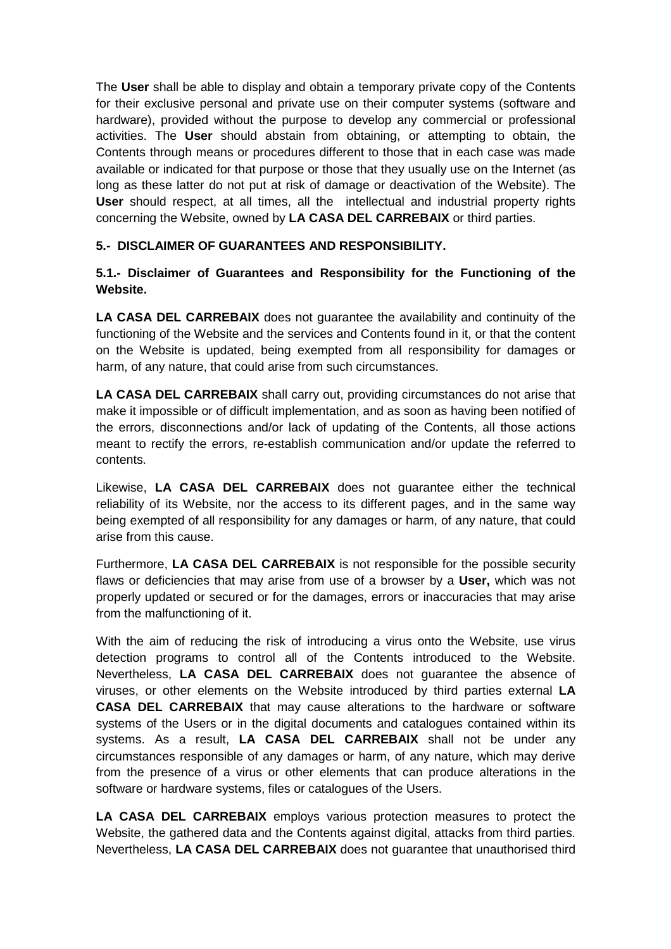The **User** shall be able to display and obtain a temporary private copy of the Contents for their exclusive personal and private use on their computer systems (software and hardware), provided without the purpose to develop any commercial or professional activities. The **User** should abstain from obtaining, or attempting to obtain, the Contents through means or procedures different to those that in each case was made available or indicated for that purpose or those that they usually use on the Internet (as long as these latter do not put at risk of damage or deactivation of the Website). The **User** should respect, at all times, all the intellectual and industrial property rights concerning the Website, owned by **LA CASA DEL CARREBAIX** or third parties.

#### **5.- DISCLAIMER OF GUARANTEES AND RESPONSIBILITY.**

#### **5.1.- Disclaimer of Guarantees and Responsibility for the Functioning of the Website.**

**LA CASA DEL CARREBAIX** does not guarantee the availability and continuity of the functioning of the Website and the services and Contents found in it, or that the content on the Website is updated, being exempted from all responsibility for damages or harm, of any nature, that could arise from such circumstances.

**LA CASA DEL CARREBAIX** shall carry out, providing circumstances do not arise that make it impossible or of difficult implementation, and as soon as having been notified of the errors, disconnections and/or lack of updating of the Contents, all those actions meant to rectify the errors, re-establish communication and/or update the referred to contents.

Likewise, **LA CASA DEL CARREBAIX** does not guarantee either the technical reliability of its Website, nor the access to its different pages, and in the same way being exempted of all responsibility for any damages or harm, of any nature, that could arise from this cause.

Furthermore, **LA CASA DEL CARREBAIX** is not responsible for the possible security flaws or deficiencies that may arise from use of a browser by a **User,** which was not properly updated or secured or for the damages, errors or inaccuracies that may arise from the malfunctioning of it.

With the aim of reducing the risk of introducing a virus onto the Website, use virus detection programs to control all of the Contents introduced to the Website. Nevertheless, **LA CASA DEL CARREBAIX** does not guarantee the absence of viruses, or other elements on the Website introduced by third parties external **LA CASA DEL CARREBAIX** that may cause alterations to the hardware or software systems of the Users or in the digital documents and catalogues contained within its systems. As a result, **LA CASA DEL CARREBAIX** shall not be under any circumstances responsible of any damages or harm, of any nature, which may derive from the presence of a virus or other elements that can produce alterations in the software or hardware systems, files or catalogues of the Users.

**LA CASA DEL CARREBAIX** employs various protection measures to protect the Website, the gathered data and the Contents against digital, attacks from third parties. Nevertheless, **LA CASA DEL CARREBAIX** does not guarantee that unauthorised third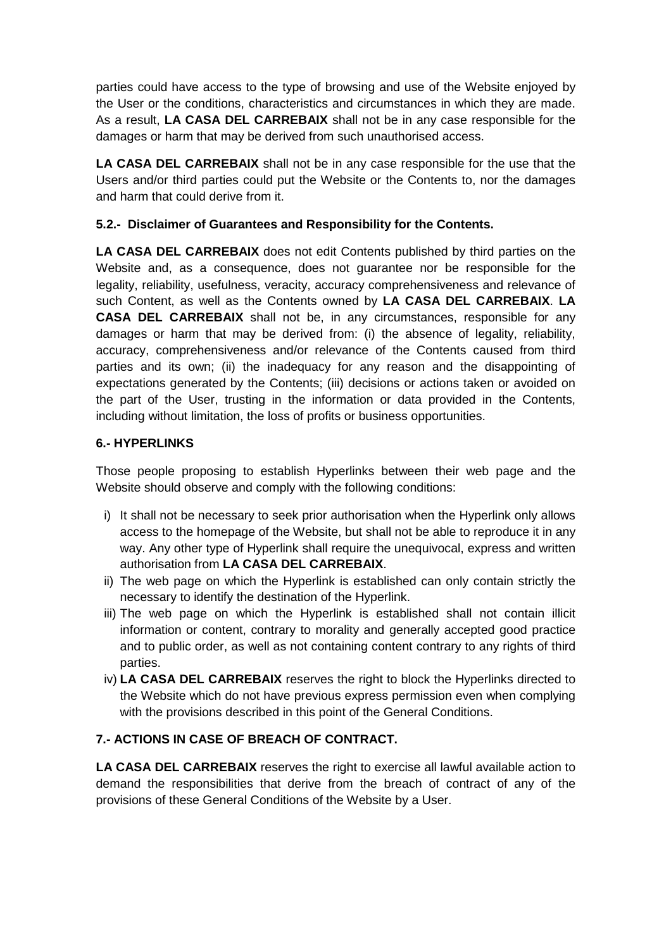parties could have access to the type of browsing and use of the Website enjoyed by the User or the conditions, characteristics and circumstances in which they are made. As a result, **LA CASA DEL CARREBAIX** shall not be in any case responsible for the damages or harm that may be derived from such unauthorised access.

**LA CASA DEL CARREBAIX** shall not be in any case responsible for the use that the Users and/or third parties could put the Website or the Contents to, nor the damages and harm that could derive from it.

#### **5.2.- Disclaimer of Guarantees and Responsibility for the Contents.**

**LA CASA DEL CARREBAIX** does not edit Contents published by third parties on the Website and, as a consequence, does not guarantee nor be responsible for the legality, reliability, usefulness, veracity, accuracy comprehensiveness and relevance of such Content, as well as the Contents owned by **LA CASA DEL CARREBAIX**. **LA CASA DEL CARREBAIX** shall not be, in any circumstances, responsible for any damages or harm that may be derived from: (i) the absence of legality, reliability, accuracy, comprehensiveness and/or relevance of the Contents caused from third parties and its own; (ii) the inadequacy for any reason and the disappointing of expectations generated by the Contents; (iii) decisions or actions taken or avoided on the part of the User, trusting in the information or data provided in the Contents, including without limitation, the loss of profits or business opportunities.

#### **6.- HYPERLINKS**

Those people proposing to establish Hyperlinks between their web page and the Website should observe and comply with the following conditions:

- i) It shall not be necessary to seek prior authorisation when the Hyperlink only allows access to the homepage of the Website, but shall not be able to reproduce it in any way. Any other type of Hyperlink shall require the unequivocal, express and written authorisation from **LA CASA DEL CARREBAIX**.
- ii) The web page on which the Hyperlink is established can only contain strictly the necessary to identify the destination of the Hyperlink.
- iii) The web page on which the Hyperlink is established shall not contain illicit information or content, contrary to morality and generally accepted good practice and to public order, as well as not containing content contrary to any rights of third parties.
- iv) **LA CASA DEL CARREBAIX** reserves the right to block the Hyperlinks directed to the Website which do not have previous express permission even when complying with the provisions described in this point of the General Conditions.

#### **7.- ACTIONS IN CASE OF BREACH OF CONTRACT.**

**LA CASA DEL CARREBAIX** reserves the right to exercise all lawful available action to demand the responsibilities that derive from the breach of contract of any of the provisions of these General Conditions of the Website by a User.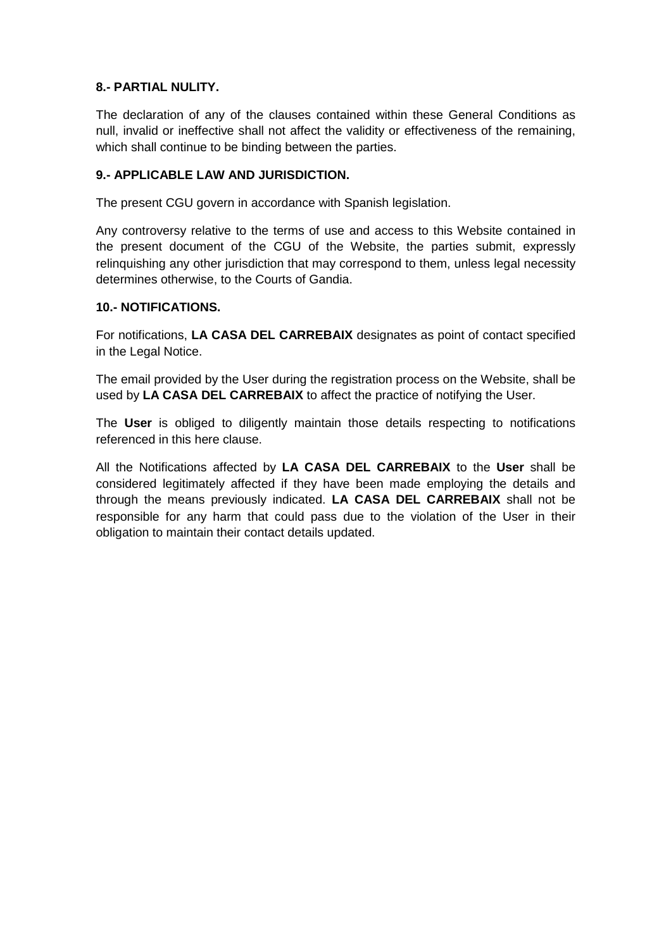#### **8.- PARTIAL NULITY.**

The declaration of any of the clauses contained within these General Conditions as null, invalid or ineffective shall not affect the validity or effectiveness of the remaining, which shall continue to be binding between the parties.

#### **9.- APPLICABLE LAW AND JURISDICTION.**

The present CGU govern in accordance with Spanish legislation.

Any controversy relative to the terms of use and access to this Website contained in the present document of the CGU of the Website, the parties submit, expressly relinquishing any other jurisdiction that may correspond to them, unless legal necessity determines otherwise, to the Courts of Gandia.

#### **10.- NOTIFICATIONS.**

For notifications, **LA CASA DEL CARREBAIX** designates as point of contact specified in the Legal Notice.

The email provided by the User during the registration process on the Website, shall be used by **LA CASA DEL CARREBAIX** to affect the practice of notifying the User.

The **User** is obliged to diligently maintain those details respecting to notifications referenced in this here clause.

All the Notifications affected by **LA CASA DEL CARREBAIX** to the **User** shall be considered legitimately affected if they have been made employing the details and through the means previously indicated. **LA CASA DEL CARREBAIX** shall not be responsible for any harm that could pass due to the violation of the User in their obligation to maintain their contact details updated.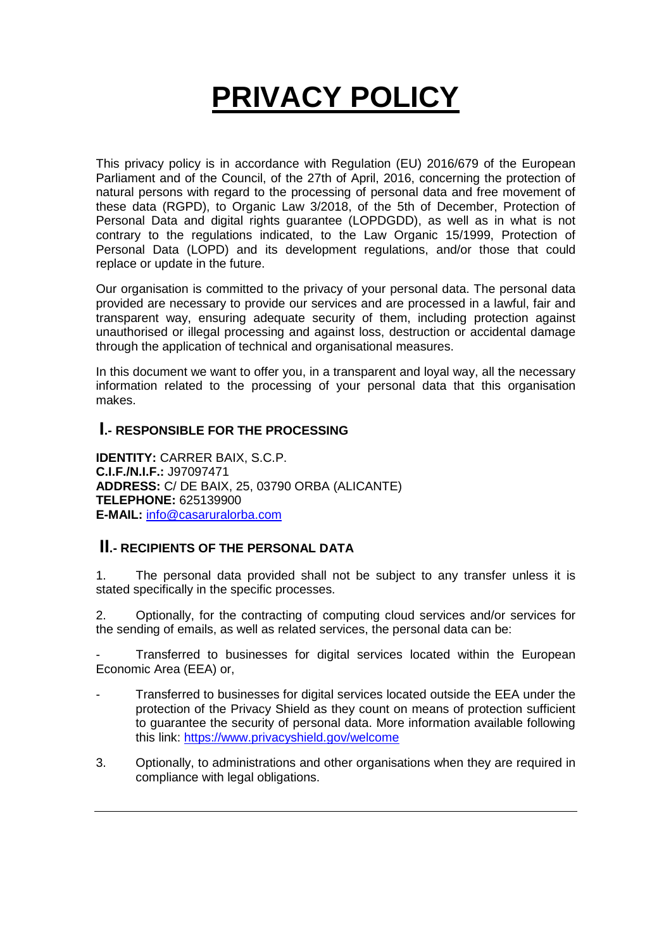## **PRIVACY POLICY**

This privacy policy is in accordance with Regulation (EU) 2016/679 of the European Parliament and of the Council, of the 27th of April, 2016, concerning the protection of natural persons with regard to the processing of personal data and free movement of these data (RGPD), to Organic Law 3/2018, of the 5th of December, Protection of Personal Data and digital rights guarantee (LOPDGDD), as well as in what is not contrary to the regulations indicated, to the Law Organic 15/1999, Protection of Personal Data (LOPD) and its development regulations, and/or those that could replace or update in the future.

Our organisation is committed to the privacy of your personal data. The personal data provided are necessary to provide our services and are processed in a lawful, fair and transparent way, ensuring adequate security of them, including protection against unauthorised or illegal processing and against loss, destruction or accidental damage through the application of technical and organisational measures.

In this document we want to offer you, in a transparent and loyal way, all the necessary information related to the processing of your personal data that this organisation makes.

### **I.- RESPONSIBLE FOR THE PROCESSING**

**IDENTITY:** CARRER BAIX, S.C.P. **C.I.F./N.I.F.:** J97097471 **ADDRESS:** C/ DE BAIX, 25, 03790 ORBA (ALICANTE) **TELEPHONE:** 625139900 **E-MAIL:** info@casaruralorba.com

### **II.- RECIPIENTS OF THE PERSONAL DATA**

1. The personal data provided shall not be subject to any transfer unless it is stated specifically in the specific processes.

2. Optionally, for the contracting of computing cloud services and/or services for the sending of emails, as well as related services, the personal data can be:

- Transferred to businesses for digital services located within the European Economic Area (EEA) or,

- Transferred to businesses for digital services located outside the EEA under the protection of the Privacy Shield as they count on means of protection sufficient to guarantee the security of personal data. More information available following this link: https://www.privacyshield.gov/welcome
- 3. Optionally, to administrations and other organisations when they are required in compliance with legal obligations.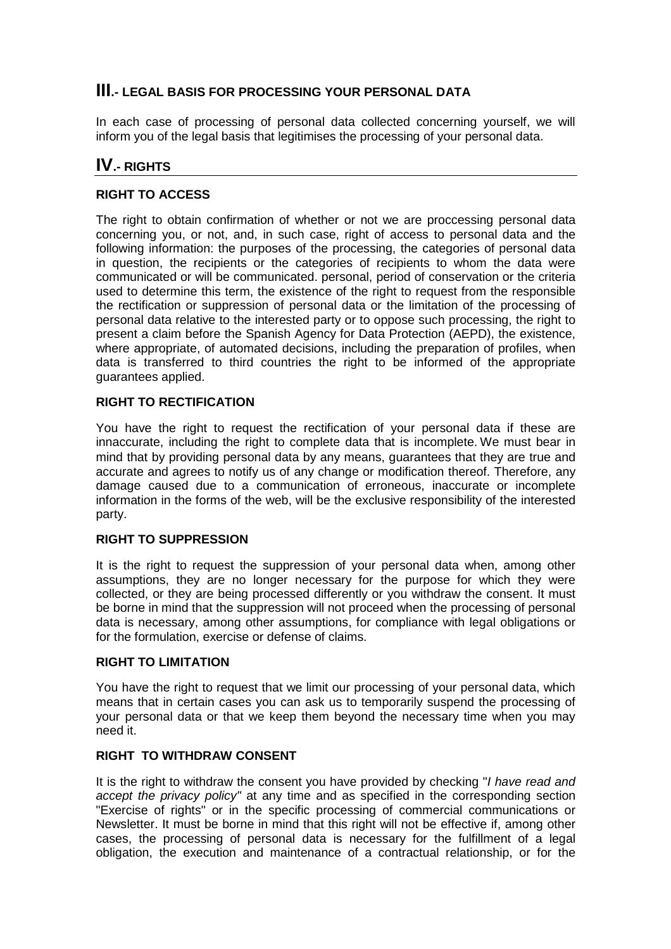## **III.- LEGAL BASIS FOR PROCESSING YOUR PERSONAL DATA**

In each case of processing of personal data collected concerning yourself, we will inform you of the legal basis that legitimises the processing of your personal data.

## **IV.- RIGHTS**

#### **RIGHT TO ACCESS**

The right to obtain confirmation of whether or not we are proccessing personal data concerning you, or not, and, in such case, right of access to personal data and the following information: the purposes of the processing, the categories of personal data in question, the recipients or the categories of recipients to whom the data were communicated or will be communicated. personal, period of conservation or the criteria used to determine this term, the existence of the right to request from the responsible the rectification or suppression of personal data or the limitation of the processing of personal data relative to the interested party or to oppose such processing, the right to present a claim before the Spanish Agency for Data Protection (AEPD), the existence, where appropriate, of automated decisions, including the preparation of profiles, when data is transferred to third countries the right to be informed of the appropriate guarantees applied.

#### **RIGHT TO RECTIFICATION**

You have the right to request the rectification of your personal data if these are innaccurate, including the right to complete data that is incomplete. We must bear in mind that by providing personal data by any means, guarantees that they are true and accurate and agrees to notify us of any change or modification thereof. Therefore, any damage caused due to a communication of erroneous, inaccurate or incomplete information in the forms of the web, will be the exclusive responsibility of the interested party.

#### **RIGHT TO SUPPRESSION**

It is the right to request the suppression of your personal data when, among other assumptions, they are no longer necessary for the purpose for which they were collected, or they are being processed differently or you withdraw the consent. It must be borne in mind that the suppression will not proceed when the processing of personal data is necessary, among other assumptions, for compliance with legal obligations or for the formulation, exercise or defense of claims.

#### **RIGHT TO LIMITATION**

You have the right to request that we limit our processing of your personal data, which means that in certain cases you can ask us to temporarily suspend the processing of your personal data or that we keep them beyond the necessary time when you may need it.

#### **RIGHT TO WITHDRAW CONSENT**

It is the right to withdraw the consent you have provided by checking "I have read and accept the privacy policy" at any time and as specified in the corresponding section "Exercise of rights" or in the specific processing of commercial communications or Newsletter. It must be borne in mind that this right will not be effective if, among other cases, the processing of personal data is necessary for the fulfillment of a legal obligation, the execution and maintenance of a contractual relationship, or for the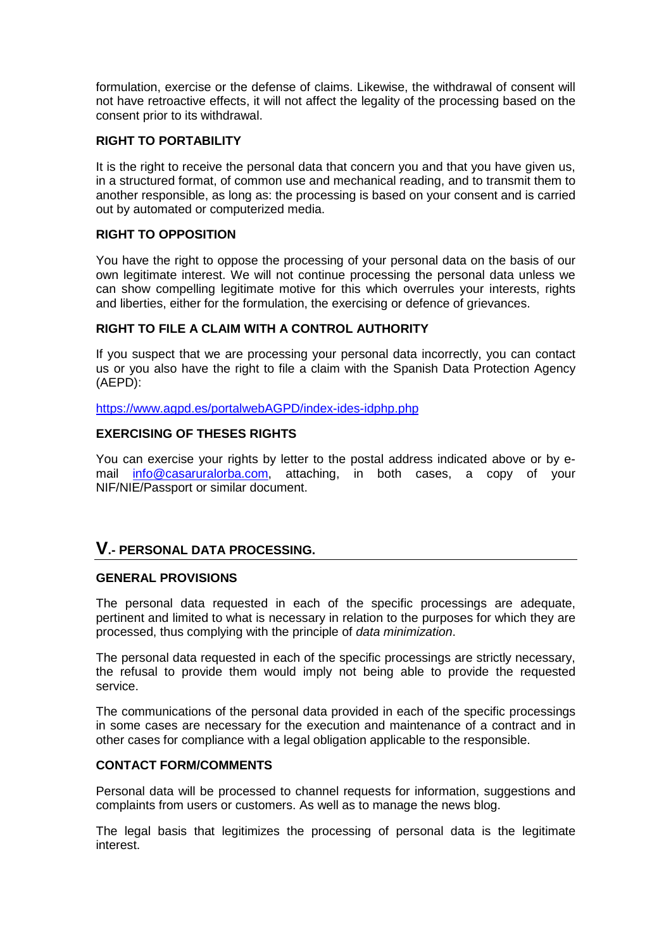formulation, exercise or the defense of claims. Likewise, the withdrawal of consent will not have retroactive effects, it will not affect the legality of the processing based on the consent prior to its withdrawal.

#### **RIGHT TO PORTABILITY**

It is the right to receive the personal data that concern you and that you have given us, in a structured format, of common use and mechanical reading, and to transmit them to another responsible, as long as: the processing is based on your consent and is carried out by automated or computerized media.

#### **RIGHT TO OPPOSITION**

You have the right to oppose the processing of your personal data on the basis of our own legitimate interest. We will not continue processing the personal data unless we can show compelling legitimate motive for this which overrules your interests, rights and liberties, either for the formulation, the exercising or defence of grievances.

#### **RIGHT TO FILE A CLAIM WITH A CONTROL AUTHORITY**

If you suspect that we are processing your personal data incorrectly, you can contact us or you also have the right to file a claim with the Spanish Data Protection Agency (AEPD):

https://www.agpd.es/portalwebAGPD/index-ides-idphp.php

#### **EXERCISING OF THESES RIGHTS**

You can exercise your rights by letter to the postal address indicated above or by email info@casaruralorba.com, attaching, in both cases, a copy of your NIF/NIE/Passport or similar document.

#### **V.- PERSONAL DATA PROCESSING.**

#### **GENERAL PROVISIONS**

The personal data requested in each of the specific processings are adequate, pertinent and limited to what is necessary in relation to the purposes for which they are processed, thus complying with the principle of data minimization.

The personal data requested in each of the specific processings are strictly necessary, the refusal to provide them would imply not being able to provide the requested service.

The communications of the personal data provided in each of the specific processings in some cases are necessary for the execution and maintenance of a contract and in other cases for compliance with a legal obligation applicable to the responsible.

#### **CONTACT FORM/COMMENTS**

Personal data will be processed to channel requests for information, suggestions and complaints from users or customers. As well as to manage the news blog.

The legal basis that legitimizes the processing of personal data is the legitimate interest.